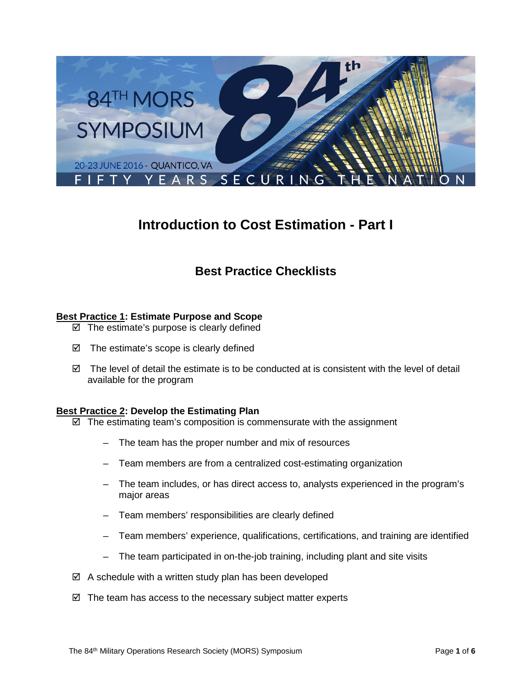

# **Introduction to Cost Estimation - Part I**

# **Best Practice Checklists**

## **Best Practice 1: Estimate Purpose and Scope**

- $\boxtimes$  The estimate's purpose is clearly defined
- $\boxtimes$  The estimate's scope is clearly defined
- $\boxtimes$  The level of detail the estimate is to be conducted at is consistent with the level of detail available for the program

## **Best Practice 2: Develop the Estimating Plan**

- $\boxtimes$  The estimating team's composition is commensurate with the assignment
	- The team has the proper number and mix of resources
	- Team members are from a centralized cost-estimating organization
	- The team includes, or has direct access to, analysts experienced in the program's major areas
	- Team members' responsibilities are clearly defined
	- Team members' experience, qualifications, certifications, and training are identified
	- The team participated in on-the-job training, including plant and site visits
- $\boxtimes$  A schedule with a written study plan has been developed
- $\boxtimes$  The team has access to the necessary subject matter experts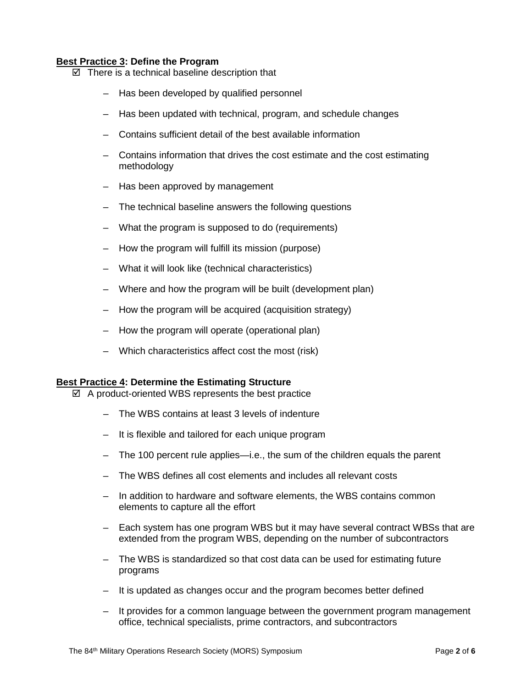#### **Best Practice 3: Define the Program**

- $\boxtimes$  There is a technical baseline description that
	- Has been developed by qualified personnel
	- Has been updated with technical, program, and schedule changes
	- Contains sufficient detail of the best available information
	- Contains information that drives the cost estimate and the cost estimating methodology
	- Has been approved by management
	- The technical baseline answers the following questions
	- What the program is supposed to do (requirements)
	- How the program will fulfill its mission (purpose)
	- What it will look like (technical characteristics)
	- Where and how the program will be built (development plan)
	- How the program will be acquired (acquisition strategy)
	- How the program will operate (operational plan)
	- Which characteristics affect cost the most (risk)

#### **Best Practice 4: Determine the Estimating Structure**

- $\boxtimes$  A product-oriented WBS represents the best practice
	- The WBS contains at least 3 levels of indenture
	- It is flexible and tailored for each unique program
	- The 100 percent rule applies—i.e., the sum of the children equals the parent
	- The WBS defines all cost elements and includes all relevant costs
	- In addition to hardware and software elements, the WBS contains common elements to capture all the effort
	- Each system has one program WBS but it may have several contract WBSs that are extended from the program WBS, depending on the number of subcontractors
	- The WBS is standardized so that cost data can be used for estimating future programs
	- It is updated as changes occur and the program becomes better defined
	- It provides for a common language between the government program management office, technical specialists, prime contractors, and subcontractors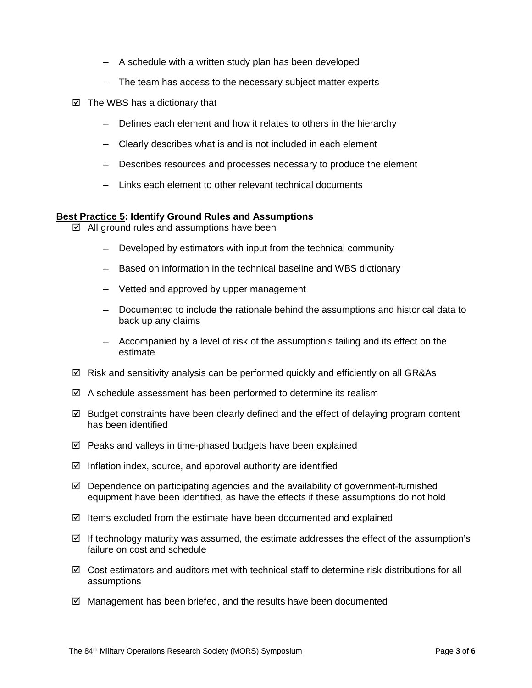- A schedule with a written study plan has been developed
- The team has access to the necessary subject matter experts
- $\boxtimes$  The WBS has a dictionary that
	- Defines each element and how it relates to others in the hierarchy
	- Clearly describes what is and is not included in each element
	- Describes resources and processes necessary to produce the element
	- Links each element to other relevant technical documents

#### **Best Practice 5: Identify Ground Rules and Assumptions**

- $\boxtimes$  All ground rules and assumptions have been
	- Developed by estimators with input from the technical community
	- Based on information in the technical baseline and WBS dictionary
	- Vetted and approved by upper management
	- Documented to include the rationale behind the assumptions and historical data to back up any claims
	- Accompanied by a level of risk of the assumption's failing and its effect on the estimate
- $\boxtimes$  Risk and sensitivity analysis can be performed quickly and efficiently on all GR&As
- $\boxtimes$  A schedule assessment has been performed to determine its realism
- $\boxtimes$  Budget constraints have been clearly defined and the effect of delaying program content has been identified
- $\boxtimes$  Peaks and valleys in time-phased budgets have been explained
- $\boxtimes$  Inflation index, source, and approval authority are identified
- $\boxtimes$  Dependence on participating agencies and the availability of government-furnished equipment have been identified, as have the effects if these assumptions do not hold
- $\boxtimes$  Items excluded from the estimate have been documented and explained
- $\boxtimes$  If technology maturity was assumed, the estimate addresses the effect of the assumption's failure on cost and schedule
- $\boxtimes$  Cost estimators and auditors met with technical staff to determine risk distributions for all assumptions
- Management has been briefed, and the results have been documented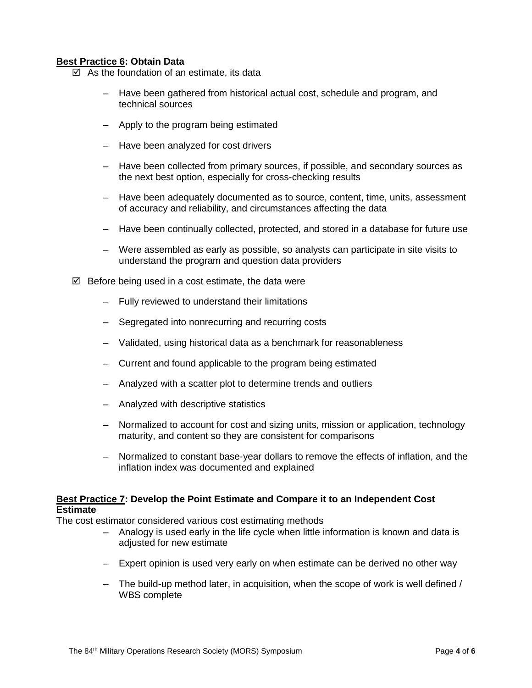#### **Best Practice 6: Obtain Data**

- $\boxtimes$  As the foundation of an estimate, its data
	- Have been gathered from historical actual cost, schedule and program, and technical sources
	- Apply to the program being estimated
	- Have been analyzed for cost drivers
	- Have been collected from primary sources, if possible, and secondary sources as the next best option, especially for cross-checking results
	- Have been adequately documented as to source, content, time, units, assessment of accuracy and reliability, and circumstances affecting the data
	- Have been continually collected, protected, and stored in a database for future use
	- Were assembled as early as possible, so analysts can participate in site visits to understand the program and question data providers
- $\boxtimes$  Before being used in a cost estimate, the data were
	- Fully reviewed to understand their limitations
	- Segregated into nonrecurring and recurring costs
	- Validated, using historical data as a benchmark for reasonableness
	- Current and found applicable to the program being estimated
	- Analyzed with a scatter plot to determine trends and outliers
	- Analyzed with descriptive statistics
	- Normalized to account for cost and sizing units, mission or application, technology maturity, and content so they are consistent for comparisons
	- Normalized to constant base-year dollars to remove the effects of inflation, and the inflation index was documented and explained

#### **Best Practice 7: Develop the Point Estimate and Compare it to an Independent Cost Estimate**

The cost estimator considered various cost estimating methods

- Analogy is used early in the life cycle when little information is known and data is adjusted for new estimate
- Expert opinion is used very early on when estimate can be derived no other way
- $-$  The build-up method later, in acquisition, when the scope of work is well defined  $/$ WBS complete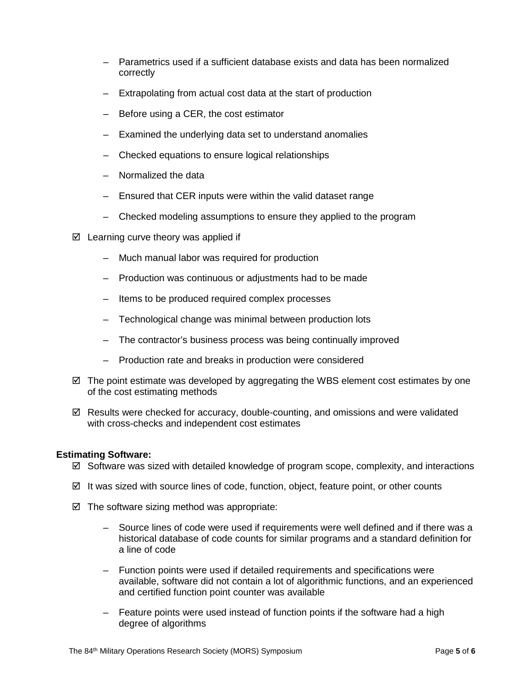- Parametrics used if a sufficient database exists and data has been normalized correctly
- Extrapolating from actual cost data at the start of production
- Before using a CER, the cost estimator
- Examined the underlying data set to understand anomalies
- Checked equations to ensure logical relationships
- Normalized the data
- Ensured that CER inputs were within the valid dataset range
- Checked modeling assumptions to ensure they applied to the program
- $\boxtimes$  Learning curve theory was applied if
	- Much manual labor was required for production
	- Production was continuous or adjustments had to be made
	- Items to be produced required complex processes
	- Technological change was minimal between production lots
	- The contractor's business process was being continually improved
	- Production rate and breaks in production were considered
- $\boxtimes$  The point estimate was developed by aggregating the WBS element cost estimates by one of the cost estimating methods
- $\boxtimes$  Results were checked for accuracy, double-counting, and omissions and were validated with cross-checks and independent cost estimates

#### **Estimating Software:**

- $\boxtimes$  Software was sized with detailed knowledge of program scope, complexity, and interactions
- $\boxtimes$  It was sized with source lines of code, function, object, feature point, or other counts
- $\boxtimes$  The software sizing method was appropriate:
	- Source lines of code were used if requirements were well defined and if there was a historical database of code counts for similar programs and a standard definition for a line of code
	- Function points were used if detailed requirements and specifications were available, software did not contain a lot of algorithmic functions, and an experienced and certified function point counter was available
	- Feature points were used instead of function points if the software had a high degree of algorithms